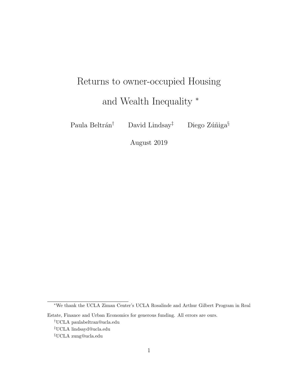# <span id="page-0-0"></span>Returns to owner-occupied Housing and Wealth Inequality <sup>∗</sup>

Paula Beltrán<sup>†</sup> David Lindsay<sup>‡</sup> Diego Zúñiga<sup>§</sup>

August 2019

<sup>∗</sup>We thank the UCLA Ziman Center's UCLA Rosalinde and Arthur Gilbert Program in Real

Estate, Finance and Urban Economics for generous funding. All errors are ours.

<sup>†</sup>UCLA paulabeltran@ucla.edu

<sup>‡</sup>UCLA lindsayd@ucla.edu

<sup>§</sup>UCLA zung@ucla.edu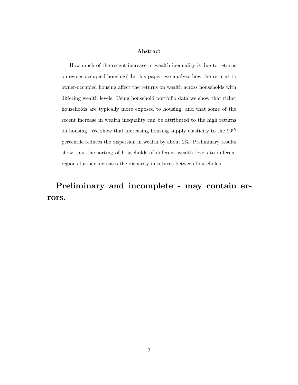### Abstract

How much of the recent increase in wealth inequality is due to returns on owner-occupied housing? In this paper, we analyze how the returns to owner-occupied housing affect the returns on wealth across households with differing wealth levels. Using household portfolio data we show that richer households are typically more exposed to housing, and that some of the recent increase in wealth inequality can be attributed to the high returns on housing. We show that increasing housing supply elasticity to the  $90^{th}$ percentile reduces the dispersion in wealth by about 2%. Preliminary results show that the sorting of households of different wealth levels to different regions further increases the disparity in returns between households.

Preliminary and incomplete - may contain errors.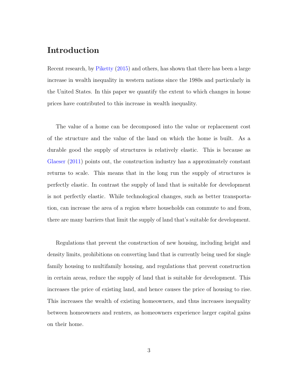### Introduction

Recent research, by [Piketty](#page-34-0) [\(2015\)](#page-34-0) and others, has shown that there has been a large increase in wealth inequality in western nations since the 1980s and particularly in the United States. In this paper we quantify the extent to which changes in house prices have contributed to this increase in wealth inequality.

The value of a home can be decomposed into the value or replacement cost of the structure and the value of the land on which the home is built. As a durable good the supply of structures is relatively elastic. This is because as [Glaeser](#page-33-0) [\(2011\)](#page-33-0) points out, the construction industry has a approximately constant returns to scale. This means that in the long run the supply of structures is perfectly elastic. In contrast the supply of land that is suitable for development is not perfectly elastic. While technological changes, such as better transportation, can increase the area of a region where households can commute to and from, there are many barriers that limit the supply of land that's suitable for development.

Regulations that prevent the construction of new housing, including height and density limits, prohibitions on converting land that is currently being used for single family housing to multifamily housing, and regulations that prevent construction in certain areas, reduce the supply of land that is suitable for development. This increases the price of existing land, and hence causes the price of housing to rise. This increases the wealth of existing homeowners, and thus increases inequality between homeowners and renters, as homeowners experience larger capital gains on their home.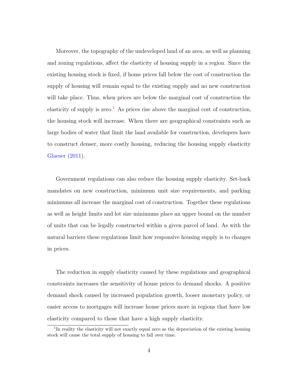Moreover, the topography of the undeveloped land of an area, as well as planning and zoning regulations, affect the elasticity of housing supply in a region. Since the existing housing stock is fixed, if home prices fall below the cost of construction the supply of housing will remain equal to the existing supply and no new construction will take place. Thus, when prices are below the marginal cost of construction the elasticity of supply is zero.<sup>[1](#page-0-0)</sup> As prices rise above the marginal cost of construction, the housing stock will increase. When there are geographical constraints such as large bodies of water that limit the land available for construction, developers have to construct denser, more costly housing, reducing the housing supply elasticity [Glaeser](#page-33-0) [\(2011\)](#page-33-0).

Government regulations can also reduce the housing supply elasticity. Set-back mandates on new construction, minimum unit size requirements, and parking minimums all increase the marginal cost of construction. Together these regulations as well as height limits and lot size minimums place an upper bound on the number of units that can be legally constructed within a given parcel of land. As with the natural barriers these regulations limit how responsive housing supply is to changes in prices.

The reduction in supply elasticity caused by these regulations and geographical constraints increases the sensitivity of house prices to demand shocks. A positive demand shock caused by increased population growth, looser monetary policy, or easier access to mortgages will increase house prices more in regions that have low elasticity compared to those that have a high supply elasticity.

<sup>&</sup>lt;sup>1</sup>In reality the elasticity will not exactly equal zero as the depreciation of the existing housing stock will cause the total supply of housing to fall over time.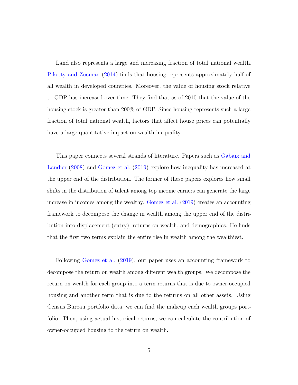Land also represents a large and increasing fraction of total national wealth. [Piketty and Zucman](#page-34-1) [\(2014\)](#page-34-1) finds that housing represents approximately half of all wealth in developed countries. Moreover, the value of housing stock relative to GDP has increased over time. They find that as of 2010 that the value of the housing stock is greater than 200% of GDP. Since housing represents such a large fraction of total national wealth, factors that affect house prices can potentially have a large quantitative impact on wealth inequality.

This paper connects several strands of literature. Papers such as [Gabaix and](#page-33-1) [Landier](#page-33-1) [\(2008\)](#page-33-1) and [Gomez et al.](#page-33-2) [\(2019\)](#page-33-2) explore how inequality has increased at the upper end of the distribution. The former of these papers explores how small shifts in the distribution of talent among top income earners can generate the large increase in incomes among the wealthy. [Gomez et al.](#page-33-2) [\(2019\)](#page-33-2) creates an accounting framework to decompose the change in wealth among the upper end of the distribution into displacement (entry), returns on wealth, and demographics. He finds that the first two terms explain the entire rise in wealth among the wealthiest.

Following [Gomez et al.](#page-33-2) [\(2019\)](#page-33-2), our paper uses an accounting framework to decompose the return on wealth among different wealth groups. We decompose the return on wealth for each group into a term returns that is due to owner-occupied housing and another term that is due to the returns on all other assets. Using Census Bureau portfolio data, we can find the makeup each wealth groups portfolio. Then, using actual historical returns, we can calculate the contribution of owner-occupied housing to the return on wealth.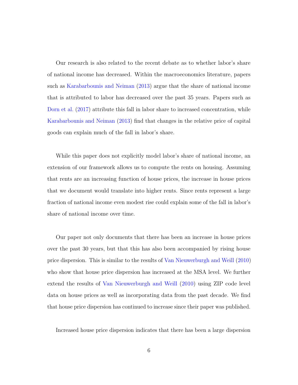Our research is also related to the recent debate as to whether labor's share of national income has decreased. Within the macroeconomics literature, papers such as [Karabarbounis and Neiman](#page-33-3) [\(2013\)](#page-33-3) argue that the share of national income that is attributed to labor has decreased over the past 35 years. Papers such as [Dorn et al.](#page-32-0)  $(2017)$  attribute this fall in labor share to increased concentration, while [Karabarbounis and Neiman](#page-33-3) [\(2013\)](#page-33-3) find that changes in the relative price of capital goods can explain much of the fall in labor's share.

While this paper does not explicitly model labor's share of national income, an extension of our framework allows us to compute the rents on housing. Assuming that rents are an increasing function of house prices, the increase in house prices that we document would translate into higher rents. Since rents represent a large fraction of national income even modest rise could explain some of the fall in labor's share of national income over time.

Our paper not only documents that there has been an increase in house prices over the past 30 years, but that this has also been accompanied by rising house price dispersion. This is similar to the results of [Van Nieuwerburgh and Weill](#page-34-2) [\(2010\)](#page-34-2) who show that house price dispersion has increased at the MSA level. We further extend the results of [Van Nieuwerburgh and Weill](#page-34-2) [\(2010\)](#page-34-2) using ZIP code level data on house prices as well as incorporating data from the past decade. We find that house price dispersion has continued to increase since their paper was published.

Increased house price dispersion indicates that there has been a large dispersion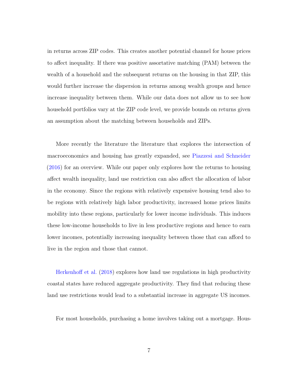in returns across ZIP codes. This creates another potential channel for house prices to affect inequality. If there was positive assortative matching (PAM) between the wealth of a household and the subsequent returns on the housing in that ZIP, this would further increase the dispersion in returns among wealth groups and hence increase inequality between them. While our data does not allow us to see how household portfolios vary at the ZIP code level, we provide bounds on returns given an assumption about the matching between households and ZIPs.

More recently the literature the literature that explores the intersection of macroeconomics and housing has greatly expanded, see [Piazzesi and Schneider](#page-34-3) [\(2016\)](#page-34-3) for an overview. While our paper only explores how the returns to housing affect wealth inequality, land use restriction can also affect the allocation of labor in the economy. Since the regions with relatively expensive housing tend also to be regions with relatively high labor productivity, increased home prices limits mobility into these regions, particularly for lower income individuals. This induces these low-income households to live in less productive regions and hence to earn lower incomes, potentially increasing inequality between those that can afford to live in the region and those that cannot.

[Herkenhoff et al.](#page-33-4) [\(2018\)](#page-33-4) explores how land use regulations in high productivity coastal states have reduced aggregate productivity. They find that reducing these land use restrictions would lead to a substantial increase in aggregate US incomes.

For most households, purchasing a home involves taking out a mortgage. Hous-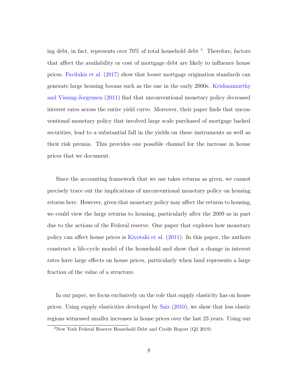ing debt, in fact, represents over 70% of total household debt [2](#page-0-0) . Therefore, factors that affect the availability or cost of mortgage debt are likely to influence house prices. [Favilukis et al.](#page-32-1) [\(2017\)](#page-32-1) show that looser mortgage origination standards can generate large housing booms such as the one in the early 2000s. [Krishnamurthy](#page-33-5) [and Vissing-Jorgensen](#page-33-5) [\(2011\)](#page-33-5) find that unconventional monetary policy decreased interest rates across the entire yield curve. Moreover, their paper finds that unconventional monetary policy that involved large scale purchased of mortgage backed securities, lead to a substantial fall in the yields on these instruments as well as their risk premia. This provides one possible channel for the increase in house prices that we document.

Since the accounting framework that we use takes returns as given, we cannot precisely trace out the implications of unconventional monetary policy on housing returns here. However, given that monetary policy may affect the returns to housing, we could view the large returns to housing, particularly after the 2009 as in part due to the actions of the Federal reserve. One paper that explores how monetary policy can affect house prices is [Kiyotaki et al.](#page-33-6) [\(2011\)](#page-33-6). In this paper, the authors construct a life-cycle model of the household and show that a change in interest rates have large effects on house prices, particularly when land represents a large fraction of the value of a structure.

In our paper, we focus exclusively on the role that supply elasticity has on house prices. Using supply elasticities developed by [Saiz](#page-34-4) [\(2010\)](#page-34-4), we show that less elastic regions witnessed smaller increases in house prices over the last 23 years. Using our

 $2$ New York Federal Reserve Household Debt and Credit Report ( $Q2$  2019)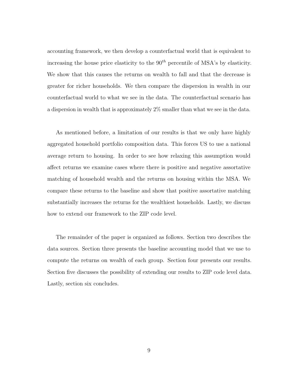accounting framework, we then develop a counterfactual world that is equivalent to increasing the house price elasticity to the  $90<sup>th</sup>$  percentile of MSA's by elasticity. We show that this causes the returns on wealth to fall and that the decrease is greater for richer households. We then compare the dispersion in wealth in our counterfactual world to what we see in the data. The counterfactual scenario has a dispersion in wealth that is approximately 2% smaller than what we see in the data.

As mentioned before, a limitation of our results is that we only have highly aggregated household portfolio composition data. This forces US to use a national average return to housing. In order to see how relaxing this assumption would affect returns we examine cases where there is positive and negative assortative matching of household wealth and the returns on housing within the MSA. We compare these returns to the baseline and show that positive assortative matching substantially increases the returns for the wealthiest households. Lastly, we discuss how to extend our framework to the ZIP code level.

The remainder of the paper is organized as follows. Section two describes the data sources. Section three presents the baseline accounting model that we use to compute the returns on wealth of each group. Section four presents our results. Section five discusses the possibility of extending our results to ZIP code level data. Lastly, section six concludes.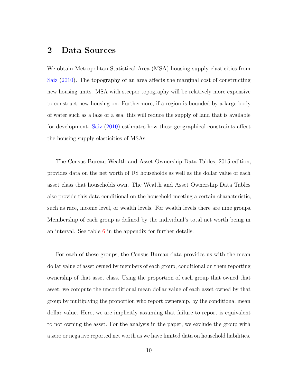### 2 Data Sources

We obtain Metropolitan Statistical Area (MSA) housing supply elasticities from [Saiz](#page-34-4) [\(2010\)](#page-34-4). The topography of an area affects the marginal cost of constructing new housing units. MSA with steeper topography will be relatively more expensive to construct new housing on. Furthermore, if a region is bounded by a large body of water such as a lake or a sea, this will reduce the supply of land that is available for development. [Saiz](#page-34-4) [\(2010\)](#page-34-4) estimates how these geographical constraints affect the housing supply elasticities of MSAs.

The Census Bureau Wealth and Asset Ownership Data Tables, 2015 edition, provides data on the net worth of US households as well as the dollar value of each asset class that households own. The Wealth and Asset Ownership Data Tables also provide this data conditional on the household meeting a certain characteristic, such as race, income level, or wealth levels. For wealth levels there are nine groups. Membership of each group is defined by the individual's total net worth being in an interval. See table [6](#page-36-0) in the appendix for further details.

For each of these groups, the Census Bureau data provides us with the mean dollar value of asset owned by members of each group, conditional on them reporting ownership of that asset class. Using the proportion of each group that owned that asset, we compute the unconditional mean dollar value of each asset owned by that group by multiplying the proportion who report ownership, by the conditional mean dollar value. Here, we are implicitly assuming that failure to report is equivalent to not owning the asset. For the analysis in the paper, we exclude the group with a zero or negative reported net worth as we have limited data on household liabilities.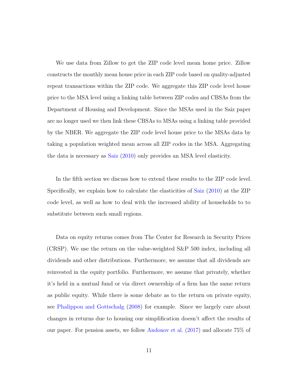We use data from Zillow to get the ZIP code level mean home price. Zillow constructs the monthly mean house price in each ZIP code based on quality-adjusted repeat transactions within the ZIP code. We aggregate this ZIP code level house price to the MSA level using a linking table between ZIP codes and CBSAs from the Department of Housing and Development. Since the MSAs used in the Saiz paper are no longer used we then link these CBSAs to MSAs using a linking table provided by the NBER. We aggregate the ZIP code level house price to the MSAs data by taking a population weighted mean across all ZIP codes in the MSA. Aggregating the data is necessary as [Saiz](#page-34-4) [\(2010\)](#page-34-4) only provides an MSA level elasticity.

In the fifth section we discuss how to extend these results to the ZIP code level. Specifically, we explain how to calculate the elasticities of [Saiz](#page-34-4) [\(2010\)](#page-34-4) at the ZIP code level, as well as how to deal with the increased ability of households to to substitute between such small regions.

Data on equity returns comes from The Center for Research in Security Prices (CRSP). We use the return on the value-weighted S&P 500 index, including all dividends and other distributions. Furthermore, we assume that all dividends are reinvested in the equity portfolio. Furthermore, we assume that privately, whether it's held in a mutual fund or via direct ownership of a firm has the same return as public equity. While there is some debate as to the return on private equity, see [Phalippou and Gottschalg](#page-34-5) [\(2008\)](#page-34-5) for example. Since we largely care about changes in returns due to housing our simplification doesn't affect the results of our paper. For pension assets, we follow [Andonov et al.](#page-32-2) [\(2017\)](#page-32-2) and allocate 75% of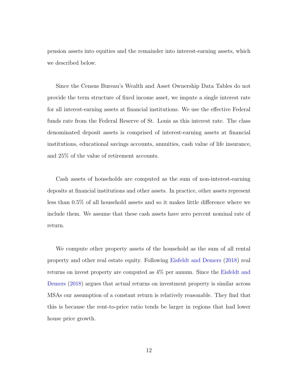pension assets into equities and the remainder into interest-earning assets, which we described below.

Since the Census Bureau's Wealth and Asset Ownership Data Tables do not provide the term structure of fixed income asset, we impute a single interest rate for all interest-earning assets at financial institutions. We use the effective Federal funds rate from the Federal Reserve of St. Louis as this interest rate. The class denominated deposit assets is comprised of interest-earning assets at financial institutions, educational savings accounts, annuities, cash value of life insurance, and 25% of the value of retirement accounts.

Cash assets of households are computed as the sum of non-interest-earning deposits at financial institutions and other assets. In practice, other assets represent less than 0.5% of all household assets and so it makes little difference where we include them. We assume that these cash assets have zero percent nominal rate of return.

We compute other property assets of the household as the sum of all rental property and other real estate equity. Following [Eisfeldt and Demers](#page-32-3) [\(2018\)](#page-32-3) real returns on invest property are computed as 4% per annum. Since the [Eisfeldt and](#page-32-3) [Demers](#page-32-3) [\(2018\)](#page-32-3) argues that actual returns on investment property is similar across MSAs our assumption of a constant return is relatively reasonable. They find that this is because the rent-to-price ratio tends be larger in regions that had lower house price growth.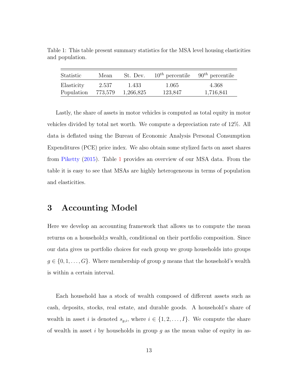| Statistic  | Mean    | St. Dev.  | $10^{th}$ percentile $90^{th}$ percentile |           |
|------------|---------|-----------|-------------------------------------------|-----------|
| Elasticity | 2.537   | 1.433     | 1.065                                     | 4.368     |
| Population | 773,579 | 1,266,825 | 123,847                                   | 1,716,841 |

<span id="page-12-0"></span>Table 1: This table present summary statistics for the MSA level housing elasticities and population.

Lastly, the share of assets in motor vehicles is computed as total equity in motor vehicles divided by total net worth. We compute a depreciation rate of 12%. All data is deflated using the Bureau of Economic Analysis Personal Consumption Expenditures (PCE) price index. We also obtain some stylized facts on asset shares from [Piketty](#page-34-0) [\(2015\)](#page-34-0). Table [1](#page-12-0) provides an overview of our MSA data. From the table it is easy to see that MSAs are highly heterogeneous in terms of population and elasticities.

### 3 Accounting Model

Here we develop an accounting framework that allows us to compute the mean returns on a household;s wealth, conditional on their portfolio composition. Since our data gives us portfolio choices for each group we group households into groups  $g \in \{0, 1, \ldots, G\}$ . Where membership of group g means that the household's wealth is within a certain interval.

Each household has a stock of wealth composed of different assets such as cash, deposits, stocks, real estate, and durable goods. A household's share of wealth in asset i is denoted  $s_{g,i}$ , where  $i \in \{1, 2, ..., I\}$ . We compute the share of wealth in asset i by households in group  $g$  as the mean value of equity in as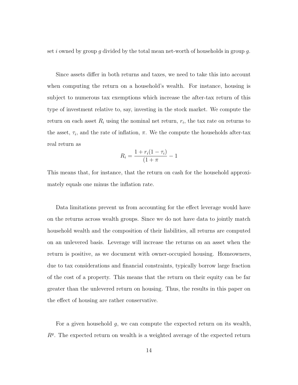set i owned by group g divided by the total mean net-worth of households in group g.

Since assets differ in both returns and taxes, we need to take this into account when computing the return on a household's wealth. For instance, housing is subject to numerous tax exemptions which increase the after-tax return of this type of investment relative to, say, investing in the stock market. We compute the return on each asset  $R_i$  using the nominal net return,  $r_i$ , the tax rate on returns to the asset,  $\tau_i$ , and the rate of inflation,  $\pi$ . We the compute the households after-tax real return as

$$
R_i = \frac{1 + r_i(1 - \tau_i)}{(1 + \pi)} - 1
$$

This means that, for instance, that the return on cash for the household approximately equals one minus the inflation rate.

Data limitations prevent us from accounting for the effect leverage would have on the returns across wealth groups. Since we do not have data to jointly match household wealth and the composition of their liabilities, all returns are computed on an unlevered basis. Leverage will increase the returns on an asset when the return is positive, as we document with owner-occupied housing. Homeowners, due to tax considerations and financial constraints, typically borrow large fraction of the cost of a property. This means that the return on their equity can be far greater than the unlevered return on housing. Thus, the results in this paper on the effect of housing are rather conservative.

For a given household  $g$ , we can compute the expected return on its wealth,  $R<sup>g</sup>$ . The expected return on wealth is a weighted average of the expected return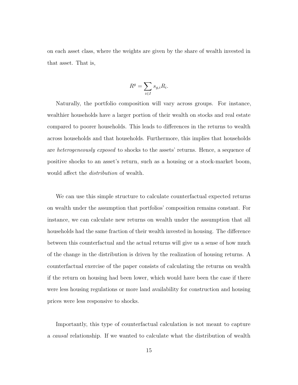on each asset class, where the weights are given by the share of wealth invested in that asset. That is,

$$
R^g = \sum_{i \in I} s_{g,i} R_i.
$$

Naturally, the portfolio composition will vary across groups. For instance, wealthier households have a larger portion of their wealth on stocks and real estate compared to poorer households. This leads to differences in the returns to wealth across households and that households. Furthermore, this implies that households are heterogeneously exposed to shocks to the assets' returns. Hence, a sequence of positive shocks to an asset's return, such as a housing or a stock-market boom, would affect the distribution of wealth.

We can use this simple structure to calculate counterfactual expected returns on wealth under the assumption that portfolios' composition remains constant. For instance, we can calculate new returns on wealth under the assumption that all households had the same fraction of their wealth invested in housing. The difference between this counterfactual and the actual returns will give us a sense of how much of the change in the distribution is driven by the realization of housing returns. A counterfactual exercise of the paper consists of calculating the returns on wealth if the return on housing had been lower, which would have been the case if there were less housing regulations or more land availability for construction and housing prices were less responsive to shocks.

Importantly, this type of counterfactual calculation is not meant to capture a causal relationship. If we wanted to calculate what the distribution of wealth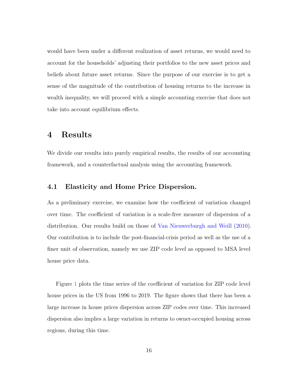would have been under a different realization of asset returns, we would need to account for the households' adjusting their portfolios to the new asset prices and beliefs about future asset returns. Since the purpose of our exercise is to get a sense of the magnitude of the contribution of housing returns to the increase in wealth inequality, we will proceed with a simple accounting exercise that does not take into account equilibrium effects.

# 4 Results

We divide our results into purely empirical results, the results of our accounting framework, and a counterfactual analysis using the accounting framework.

### 4.1 Elasticity and Home Price Dispersion.

As a preliminary exercise, we examine how the coefficient of variation changed over time. The coefficient of variation is a scale-free measure of dispersion of a distribution. Our results build on those of [Van Nieuwerburgh and Weill](#page-34-2) [\(2010\)](#page-34-2). Our contribution is to include the post-financial-crisis period as well as the use of a finer unit of observation, namely we use ZIP code level as opposed to MSA level house price data.

Figure [1](#page-16-0) plots the time series of the coefficient of variation for ZIP code level house prices in the US from 1996 to 2019. The figure shows that there has been a large increase in house prices dispersion across ZIP codes over time. This increased dispersion also implies a large variation in returns to owner-occupied housing across regions, during this time.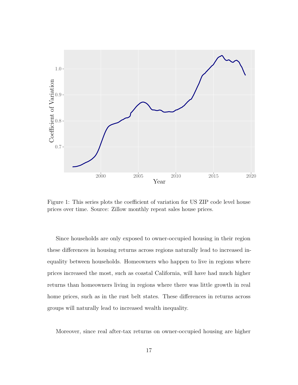<span id="page-16-0"></span>

Figure 1: This series plots the coefficient of variation for US ZIP code level house prices over time. Source: Zillow monthly repeat sales house prices.

Since households are only exposed to owner-occupied housing in their region these differences in housing returns across regions naturally lead to increased inequality between households. Homeowners who happen to live in regions where prices increased the most, such as coastal California, will have had much higher returns than homeowners living in regions where there was little growth in real home prices, such as in the rust belt states. These differences in returns across groups will naturally lead to increased wealth inequality.

Moreover, since real after-tax returns on owner-occupied housing are higher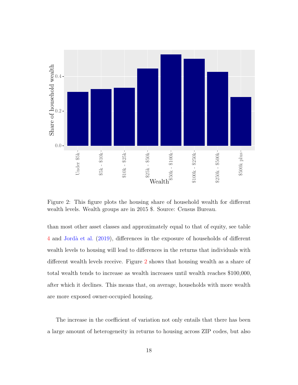<span id="page-17-0"></span>

Figure 2: This figure plots the housing share of household wealth for different wealth levels. Wealth groups are in 2015 \$. Source: Census Bureau.

than most other asset classes and approximately equal to that of equity, see table [4](#page-22-0) and [Jord`a et al.](#page-33-7) [\(2019\)](#page-33-7), differences in the exposure of households of different wealth levels to housing will lead to differences in the returns that individuals with different wealth levels receive. Figure [2](#page-17-0) shows that housing wealth as a share of total wealth tends to increase as wealth increases until wealth reaches \$100,000, after which it declines. This means that, on average, households with more wealth are more exposed owner-occupied housing.

The increase in the coefficient of variation not only entails that there has been a large amount of heterogeneity in returns to housing across ZIP codes, but also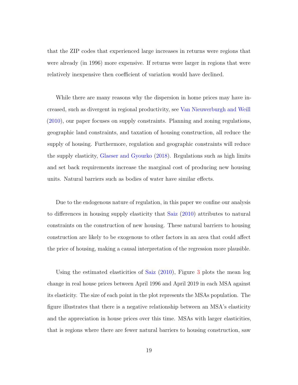that the ZIP codes that experienced large increases in returns were regions that were already (in 1996) more expensive. If returns were larger in regions that were relatively inexpensive then coefficient of variation would have declined.

While there are many reasons why the dispersion in home prices may have increased, such as divergent in regional productivity, see [Van Nieuwerburgh and Weill](#page-34-2) [\(2010\)](#page-34-2), our paper focuses on supply constraints. Planning and zoning regulations, geographic land constraints, and taxation of housing construction, all reduce the supply of housing. Furthermore, regulation and geographic constraints will reduce the supply elasticity, [Glaeser and Gyourko](#page-33-8) [\(2018\)](#page-33-8). Regulations such as high limits and set back requirements increase the marginal cost of producing new housing units. Natural barriers such as bodies of water have similar effects.

Due to the endogenous nature of regulation, in this paper we confine our analysis to differences in housing supply elasticity that [Saiz](#page-34-4) [\(2010\)](#page-34-4) attributes to natural constraints on the construction of new housing. These natural barriers to housing construction are likely to be exogenous to other factors in an area that could affect the price of housing, making a causal interpretation of the regression more plausible.

Using the estimated elasticities of [Saiz](#page-34-4) [\(2010\)](#page-34-4), Figure [3](#page-19-0) plots the mean log change in real house prices between April 1996 and April 2019 in each MSA against its elasticity. The size of each point in the plot represents the MSAs population. The figure illustrates that there is a negative relationship between an MSA's elasticity and the appreciation in house prices over this time. MSAs with larger elasticities, that is regions where there are fewer natural barriers to housing construction, saw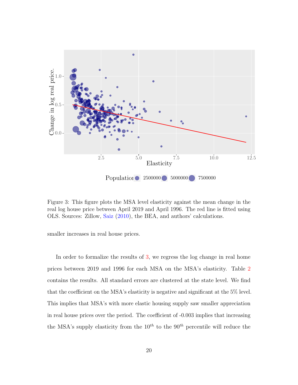<span id="page-19-0"></span>

Figure 3: This figure plots the MSA level elasticity against the mean change in the real log house price between April 2019 and April 1996. The red line is fitted using OLS. Sources: Zillow, [Saiz](#page-34-4) [\(2010\)](#page-34-4), the BEA, and authors' calculations.

smaller increases in real house prices.

In order to formalize the results of [3,](#page-19-0) we regress the log change in real home prices between 2019 and 1996 for each MSA on the MSA's elasticity. Table [2](#page-20-0) contains the results. All standard errors are clustered at the state level. We find that the coefficient on the MSA's elasticity is negative and significant at the 5% level. This implies that MSA's with more elastic housing supply saw smaller appreciation in real house prices over the period. The coefficient of -0.003 implies that increasing the MSA's supply elasticity from the  $10^{th}$  to the  $90^{th}$  percentile will reduce the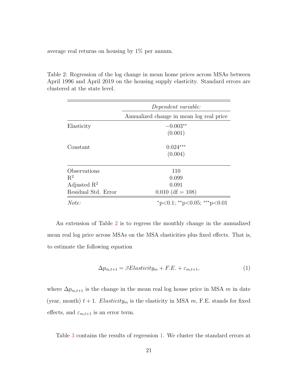average real returns on housing by 1% per annum.

<span id="page-20-0"></span>Table 2: Regression of the log change in mean home prices across MSAs between April 1996 and April 2019 on the housing supply elasticity. Standard errors are clustered at the state level.

|                         | Dependent variable:                      |  |  |  |  |
|-------------------------|------------------------------------------|--|--|--|--|
|                         | Annualized change in mean log real price |  |  |  |  |
| Elasticity              | $-0.003**$                               |  |  |  |  |
|                         | (0.001)                                  |  |  |  |  |
| Constant                | $0.024***$                               |  |  |  |  |
|                         | (0.004)                                  |  |  |  |  |
| Observations            | 110                                      |  |  |  |  |
| $R^2$                   | 0.099                                    |  |  |  |  |
| Adjusted $\mathbb{R}^2$ | 0.091                                    |  |  |  |  |
| Residual Std. Error     | $0.010$ (df = 108)                       |  |  |  |  |
| Note:                   | *p<0.1; **p<0.05; ***p<0.01              |  |  |  |  |

An extension of Table [2](#page-20-0) is to regress the monthly change in the annualized mean real log price across MSAs on the MSA elasticities plus fixed effects. That is, to estimate the following equation

<span id="page-20-1"></span>
$$
\Delta p_{m,t+1} = \beta Elasticity_m + F.E. + \varepsilon_{m,t+1},\tag{1}
$$

where  $\Delta p_{m,t+1}$  is the change in the mean real log house price in MSA m in date (year, month)  $t + 1$ . Elasticity<sub>m</sub> is the elasticity in MSA m, F.E. stands for fixed effects, and  $\varepsilon_{m,t+1}$  is an error term.

Table [3](#page-21-0) contains the results of regression [1.](#page-20-1) We cluster the standard errors at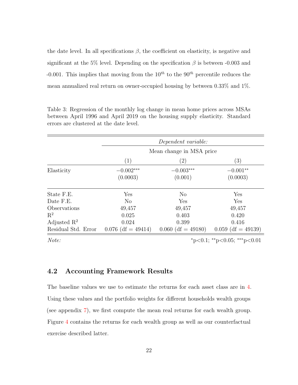the date level. In all specifications  $\beta$ , the coefficient on elasticity, is negative and significant at the 5% level. Depending on the specification  $\beta$  is between -0.003 and -0.001. This implies that moving from the  $10^{th}$  to the  $90^{th}$  percentile reduces the mean annualized real return on owner-occupied housing by between 0.33% and 1%.

| Dependent variable:      |                      |                      |  |  |
|--------------------------|----------------------|----------------------|--|--|
| Mean change in MSA price |                      |                      |  |  |
| (1)                      | $\left( 2\right)$    | (3)                  |  |  |
| $-0.002***$              | $-0.003***$          | $-0.001**$           |  |  |
|                          |                      | (0.0003)             |  |  |
| Yes                      | N <sub>o</sub>       | Yes                  |  |  |
| N <sub>o</sub>           | Yes                  | Yes                  |  |  |
| 49,457                   | 49,457               | 49,457               |  |  |
| 0.025                    |                      | 0.420                |  |  |
| 0.024                    | 0.399                | 0.416                |  |  |
| $0.076$ (df = 49414)     | $0.060$ (df = 49180) | $0.059$ (df = 49139) |  |  |
|                          | (0.0003)             | (0.001)<br>0.403     |  |  |

<span id="page-21-0"></span>Table 3: Regression of the monthly log change in mean home prices across MSAs between April 1996 and April 2019 on the housing supply elasticity. Standard errors are clustered at the date level.

 $Note:$   $*_{p<0.1; *_{p<0.05; **_{p<0.01}}$ 

### 4.2 Accounting Framework Results

The baseline values we use to estimate the returns for each asset class are in [4.](#page-22-0) Using these values and the portfolio weights for different households wealth groups (see appendix [7\)](#page-36-1), we first compute the mean real returns for each wealth group. Figure [4](#page-23-0) contains the returns for each wealth group as well as our counterfactual exercise described latter.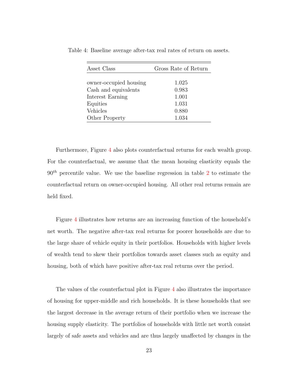| Asset Class            | Gross Rate of Return |  |  |  |
|------------------------|----------------------|--|--|--|
|                        |                      |  |  |  |
| owner-occupied housing | 1.025                |  |  |  |
| Cash and equivalents   | 0.983                |  |  |  |
| Interest Earning       | 1.001                |  |  |  |
| Equities               | 1.031                |  |  |  |
| Vehicles               | 0.880                |  |  |  |
| Other Property         | 1.034                |  |  |  |

<span id="page-22-0"></span>Table 4: Baseline average after-tax real rates of return on assets.

Furthermore, Figure [4](#page-23-0) also plots counterfactual returns for each wealth group. For the counterfactual, we assume that the mean housing elasticity equals the  $90<sup>th</sup>$  percentile value. We use the baseline regression in table [2](#page-20-0) to estimate the counterfactual return on owner-occupied housing. All other real returns remain are held fixed.

Figure [4](#page-23-0) illustrates how returns are an increasing function of the household's net worth. The negative after-tax real returns for poorer households are due to the large share of vehicle equity in their portfolios. Households with higher levels of wealth tend to skew their portfolios towards asset classes such as equity and housing, both of which have positive after-tax real returns over the period.

The values of the counterfactual plot in Figure [4](#page-23-0) also illustrates the importance of housing for upper-middle and rich households. It is these households that see the largest decrease in the average return of their portfolio when we increase the housing supply elasticity. The portfolios of households with little net worth consist largely of safe assets and vehicles and are thus largely unaffected by changes in the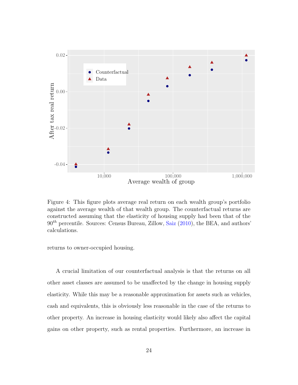<span id="page-23-0"></span>

Figure 4: This figure plots average real return on each wealth group's portfolio against the average wealth of that wealth group. The counterfactual returns are constructed assuming that the elasticity of housing supply had been that of the  $90<sup>th</sup>$  percentile. Sources: Census Bureau, Zillow, [Saiz](#page-34-4) [\(2010\)](#page-34-4), the BEA, and authors' calculations.

returns to owner-occupied housing.

A crucial limitation of our counterfactual analysis is that the returns on all other asset classes are assumed to be unaffected by the change in housing supply elasticity. While this may be a reasonable approximation for assets such as vehicles, cash and equivalents, this is obviously less reasonable in the case of the returns to other property. An increase in housing elasticity would likely also affect the capital gains on other property, such as rental properties. Furthermore, an increase in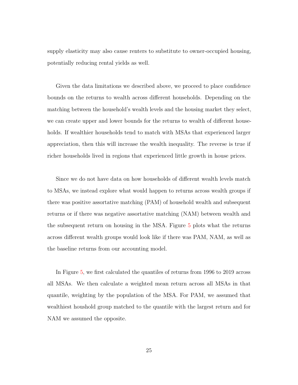supply elasticity may also cause renters to substitute to owner-occupied housing, potentially reducing rental yields as well.

Given the data limitations we described above, we proceed to place confidence bounds on the returns to wealth across different households. Depending on the matching between the household's wealth levels and the housing market they select, we can create upper and lower bounds for the returns to wealth of different households. If wealthier households tend to match with MSAs that experienced larger appreciation, then this will increase the wealth inequality. The reverse is true if richer households lived in regions that experienced little growth in house prices.

Since we do not have data on how households of different wealth levels match to MSAs, we instead explore what would happen to returns across wealth groups if there was positive assortative matching (PAM) of household wealth and subsequent returns or if there was negative assortative matching (NAM) between wealth and the subsequent return on housing in the MSA. Figure [5](#page-25-0) plots what the returns across different wealth groups would look like if there was PAM, NAM, as well as the baseline returns from our accounting model.

In Figure [5,](#page-25-0) we first calculated the quantiles of returns from 1996 to 2019 across all MSAs. We then calculate a weighted mean return across all MSAs in that quantile, weighting by the population of the MSA. For PAM, we assumed that wealthiest houshold group matched to the quantile with the largest return and for NAM we assumed the opposite.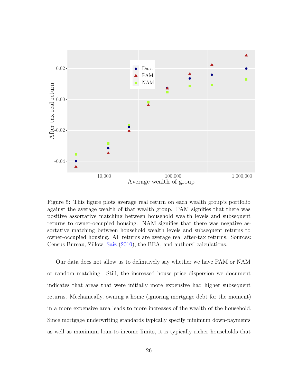<span id="page-25-0"></span>

Figure 5: This figure plots average real return on each wealth group's portfolio against the average wealth of that wealth group. PAM signifies that there was positive assortative matching between household wealth levels and subsequent returns to owner-occupied housing. NAM signifies that there was negative assortative matching between household wealth levels and subsequent returns to owner-occupied housing. All returns are average real after-tax returns. Sources: Census Bureau, Zillow, [Saiz](#page-34-4) [\(2010\)](#page-34-4), the BEA, and authors' calculations.

Our data does not allow us to definitively say whether we have PAM or NAM or random matching. Still, the increased house price dispersion we document indicates that areas that were initially more expensive had higher subsequent returns. Mechanically, owning a home (ignoring mortgage debt for the moment) in a more expensive area leads to more increases of the wealth of the household. Since mortgage underwriting standards typically specify minimum down-payments as well as maximum loan-to-income limits, it is typically richer households that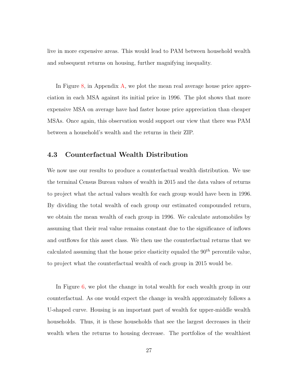live in more expensive areas. This would lead to PAM between household wealth and subsequent returns on housing, further magnifying inequality.

In Figure [8,](#page-35-0) in Appendix [A,](#page-35-1) we plot the mean real average house price appreciation in each MSA against its initial price in 1996. The plot shows that more expensive MSA on average have had faster house price appreciation than cheaper MSAs. Once again, this observation would support our view that there was PAM between a household's wealth and the returns in their ZIP.

### 4.3 Counterfactual Wealth Distribution

We now use our results to produce a counterfactual wealth distribution. We use the terminal Census Bureau values of wealth in 2015 and the data values of returns to project what the actual values wealth for each group would have been in 1996. By dividing the total wealth of each group our estimated compounded return, we obtain the mean wealth of each group in 1996. We calculate automobiles by assuming that their real value remains constant due to the significance of inflows and outflows for this asset class. We then use the counterfactual returns that we calculated assuming that the house price elasticity equaled the  $90<sup>th</sup>$  percentile value, to project what the counterfactual wealth of each group in 2015 would be.

In Figure [6,](#page-27-0) we plot the change in total wealth for each wealth group in our counterfactual. As one would expect the change in wealth approximately follows a U-shaped curve. Housing is an important part of wealth for upper-middle wealth households. Thus, it is these households that see the largest decreases in their wealth when the returns to housing decrease. The portfolios of the wealthiest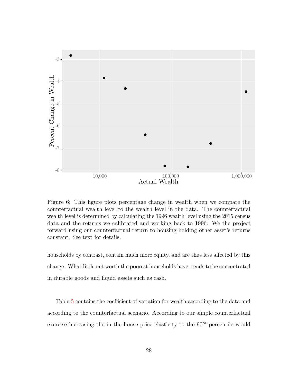<span id="page-27-0"></span>

Figure 6: This figure plots percentage change in wealth when we compare the counterfactual wealth level to the wealth level in the data. The counterfactual wealth level is determined by calculating the 1996 wealth level using the 2015 census data and the returns we calibrated and working back to 1996. We the project forward using our counterfactual return to housing holding other asset's returns constant. See text for details.

households by contrast, contain much more equity, and are thus less affected by this change. What little net worth the poorest households have, tends to be concentrated in durable goods and liquid assets such as cash.

Table [5](#page-28-0) contains the coefficient of variation for wealth according to the data and according to the counterfactual scenario. According to our simple counterfactual exercise increasing the in the house price elasticity to the  $90<sup>th</sup>$  percentile would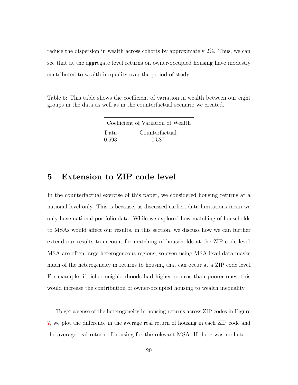reduce the dispersion in wealth across cohorts by approximately 2%. Thus, we can see that at the aggregate level returns on owner-occupied housing have modestly contributed to wealth inequality over the period of study.

<span id="page-28-0"></span>Table 5: This table shows the coefficient of variation in wealth between our eight groups in the data as well as in the counterfactual scenario we created.

|       | Coefficient of Variation of Wealth |
|-------|------------------------------------|
| Data. | Counterfactual                     |
| 0.593 | 0.587                              |

# 5 Extension to ZIP code level

In the counterfactual exercise of this paper, we considered housing returns at a national level only. This is because, as discussed earlier, data limitations mean we only have national portfolio data. While we explored how matching of households to MSAs would affect our results, in this section, we discuss how we can further extend our results to account for matching of households at the ZIP code level. MSA are often large heterogeneous regions, so even using MSA level data masks much of the heterogeneity in returns to housing that can occur at a ZIP code level. For example, if richer neighborhoods had higher returns than poorer ones, this would increase the contribution of owner-occupied housing to wealth inequality.

To get a sense of the heterogeneity in housing returns across ZIP codes in Figure [7,](#page-29-0) we plot the difference in the average real return of housing in each ZIP code and the average real return of housing for the relevant MSA. If there was no hetero-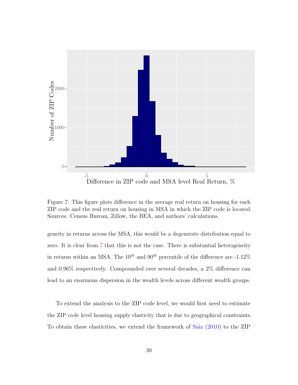<span id="page-29-0"></span>

Figure 7: This figure plots difference in the average real return on housing for each ZIP code and the real return on housing in MSA in which the ZIP code is located. Sources: Census Bureau, Zillow, the BEA, and authors' calculations.

geneity in returns across the MSA, this would be a degenerate distribution equal to zero. It is clear from [7](#page-29-0) that this is not the case. There is substantial heterogeneity in returns within an MSA. The  $10^{th}$  and  $90^{th}$  percentile of the difference are -1.12% and 0.96% respectively. Compounded over several decades, a 2% difference can lead to an enormous dispersion in the wealth levels across different wealth groups.

To extend the analysis to the ZIP code level, we would first need to estimate the ZIP code level housing supply elasticity that is due to geographical constraints. To obtain these elasticities, we extend the framework of [Saiz](#page-34-4) [\(2010\)](#page-34-4) to the ZIP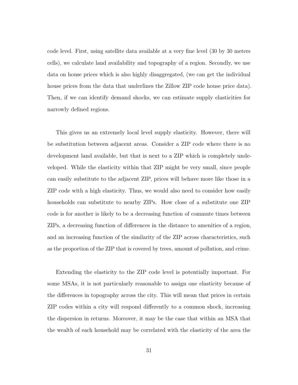code level. First, using satellite data available at a very fine level (30 by 30 meters cells), we calculate land availability and topography of a region. Secondly, we use data on house prices which is also highly disaggregated, (we can get the individual house prices from the data that underlines the Zillow ZIP code house price data). Then, if we can identify demand shocks, we can estimate supply elasticities for narrowly defined regions.

This gives us an extremely local level supply elasticity. However, there will be substitution between adjacent areas. Consider a ZIP code where there is no development land available, but that is next to a ZIP which is completely undeveloped. While the elasticity within that ZIP might be very small, since people can easily substitute to the adjacent ZIP, prices will behave more like those in a ZIP code with a high elasticity. Thus, we would also need to consider how easily households can substitute to nearby ZIPs. How close of a substitute one ZIP code is for another is likely to be a decreasing function of commute times between ZIPs, a decreasing function of differences in the distance to amenities of a region, and an increasing function of the similarity of the ZIP across characteristics, such as the proportion of the ZIP that is covered by trees, amount of pollution, and crime.

Extending the elasticity to the ZIP code level is potentially important. For some MSAs, it is not particularly reasonable to assign one elasticity because of the differences in topography across the city. This will mean that prices in certain ZIP codes within a city will respond differently to a common shock, increasing the dispersion in returns. Moreover, it may be the case that within an MSA that the wealth of each household may be correlated with the elasticity of the area the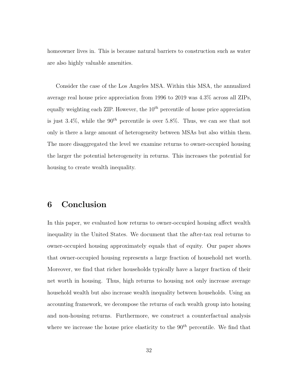homeowner lives in. This is because natural barriers to construction such as water are also highly valuable amenities.

Consider the case of the Los Angeles MSA. Within this MSA, the annualized average real house price appreciation from 1996 to 2019 was 4.3% across all ZIPs, equally weighting each ZIP. However, the  $10^{th}$  percentile of house price appreciation is just 3.4%, while the  $90^{th}$  percentile is over 5.8%. Thus, we can see that not only is there a large amount of heterogeneity between MSAs but also within them. The more disaggregated the level we examine returns to owner-occupied housing the larger the potential heterogeneity in returns. This increases the potential for housing to create wealth inequality.

# 6 Conclusion

In this paper, we evaluated how returns to owner-occupied housing affect wealth inequality in the United States. We document that the after-tax real returns to owner-occupied housing approximately equals that of equity. Our paper shows that owner-occupied housing represents a large fraction of household net worth. Moreover, we find that richer households typically have a larger fraction of their net worth in housing. Thus, high returns to housing not only increase average household wealth but also increase wealth inequality between households. Using an accounting framework, we decompose the returns of each wealth group into housing and non-housing returns. Furthermore, we construct a counterfactual analysis where we increase the house price elasticity to the  $90<sup>th</sup>$  percentile. We find that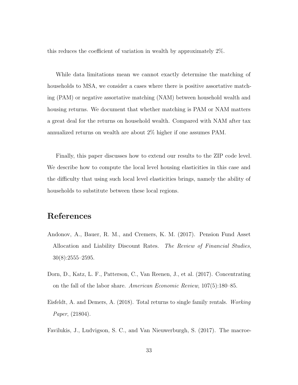this reduces the coefficient of variation in wealth by approximately 2%.

While data limitations mean we cannot exactly determine the matching of households to MSA, we consider a cases where there is positive assortative matching (PAM) or negative assortative matching (NAM) between household wealth and housing returns. We document that whether matching is PAM or NAM matters a great deal for the returns on household wealth. Compared with NAM after tax annualized returns on wealth are about 2% higher if one assumes PAM.

Finally, this paper discusses how to extend our results to the ZIP code level. We describe how to compute the local level housing elasticities in this case and the difficulty that using such local level elasticities brings, namely the ability of households to substitute between these local regions.

# References

- <span id="page-32-2"></span>Andonov, A., Bauer, R. M., and Cremers, K. M. (2017). Pension Fund Asset Allocation and Liability Discount Rates. The Review of Financial Studies,  $30(8):2555-2595.$
- <span id="page-32-0"></span>Dorn, D., Katz, L. F., Patterson, C., Van Reenen, J., et al. (2017). Concentrating on the fall of the labor share. American Economic Review, 107(5):180–85.
- <span id="page-32-3"></span>Eisfeldt, A. and Demers, A. (2018). Total returns to single family rentals. Working Paper, (21804).
- <span id="page-32-1"></span>Favilukis, J., Ludvigson, S. C., and Van Nieuwerburgh, S. (2017). The macroe-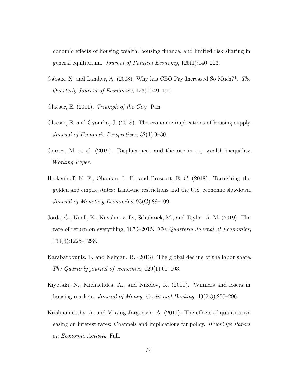conomic effects of housing wealth, housing finance, and limited risk sharing in general equilibrium. Journal of Political Economy, 125(1):140–223.

- <span id="page-33-1"></span>Gabaix, X. and Landier, A. (2008). Why has CEO Pay Increased So Much?\*. The Quarterly Journal of Economics, 123(1):49–100.
- <span id="page-33-0"></span>Glaeser, E. (2011). Triumph of the City. Pan.
- <span id="page-33-8"></span>Glaeser, E. and Gyourko, J. (2018). The economic implications of housing supply. Journal of Economic Perspectives, 32(1):3–30.
- <span id="page-33-2"></span>Gomez, M. et al. (2019). Displacement and the rise in top wealth inequality. Working Paper.
- <span id="page-33-4"></span>Herkenhoff, K. F., Ohanian, L. E., and Prescott, E. C. (2018). Tarnishing the golden and empire states: Land-use restrictions and the U.S. economic slowdown. Journal of Monetary Economics, 93(C):89–109.
- <span id="page-33-7"></span>Jordà, Ò., Knoll, K., Kuvshinov, D., Schularick, M., and Taylor, A. M. (2019). The rate of return on everything, 1870–2015. The Quarterly Journal of Economics, 134(3):1225–1298.
- <span id="page-33-3"></span>Karabarbounis, L. and Neiman, B. (2013). The global decline of the labor share. The Quarterly journal of economics, 129(1):61–103.
- <span id="page-33-6"></span>Kiyotaki, N., Michaelides, A., and Nikolov, K. (2011). Winners and losers in housing markets. *Journal of Money, Credit and Banking*, 43(2-3):255–296.
- <span id="page-33-5"></span>Krishnamurthy, A. and Vissing-Jorgensen, A. (2011). The effects of quantitative easing on interest rates: Channels and implications for policy. Brookings Papers on Economic Activity, Fall.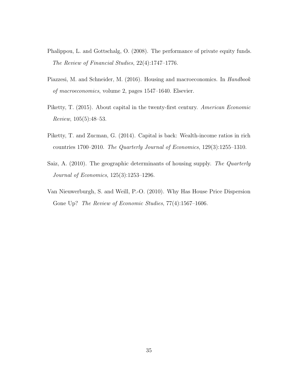- <span id="page-34-5"></span>Phalippou, L. and Gottschalg, O. (2008). The performance of private equity funds. The Review of Financial Studies, 22(4):1747–1776.
- <span id="page-34-3"></span>Piazzesi, M. and Schneider, M. (2016). Housing and macroeconomics. In *Handbook* of macroeconomics, volume 2, pages 1547–1640. Elsevier.
- <span id="page-34-0"></span>Piketty, T. (2015). About capital in the twenty-first century. American Economic Review, 105(5):48–53.
- <span id="page-34-1"></span>Piketty, T. and Zucman, G. (2014). Capital is back: Wealth-income ratios in rich countries 1700–2010. The Quarterly Journal of Economics, 129(3):1255–1310.
- <span id="page-34-4"></span>Saiz, A. (2010). The geographic determinants of housing supply. The Quarterly Journal of Economics, 125(3):1253–1296.
- <span id="page-34-2"></span>Van Nieuwerburgh, S. and Weill, P.-O. (2010). Why Has House Price Dispersion Gone Up? The Review of Economic Studies, 77(4):1567-1606.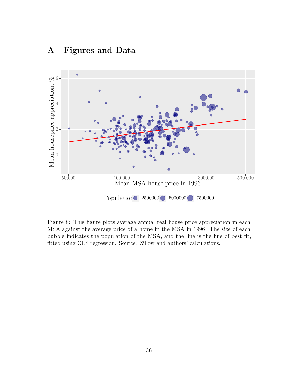<span id="page-35-0"></span>

# <span id="page-35-1"></span>A Figures and Data

Figure 8: This figure plots average annual real house price appreciation in each MSA against the average price of a home in the MSA in 1996. The size of each bubble indicates the population of the MSA, and the line is the line of best fit, fitted using OLS regression. Source: Zillow and authors' calculations.